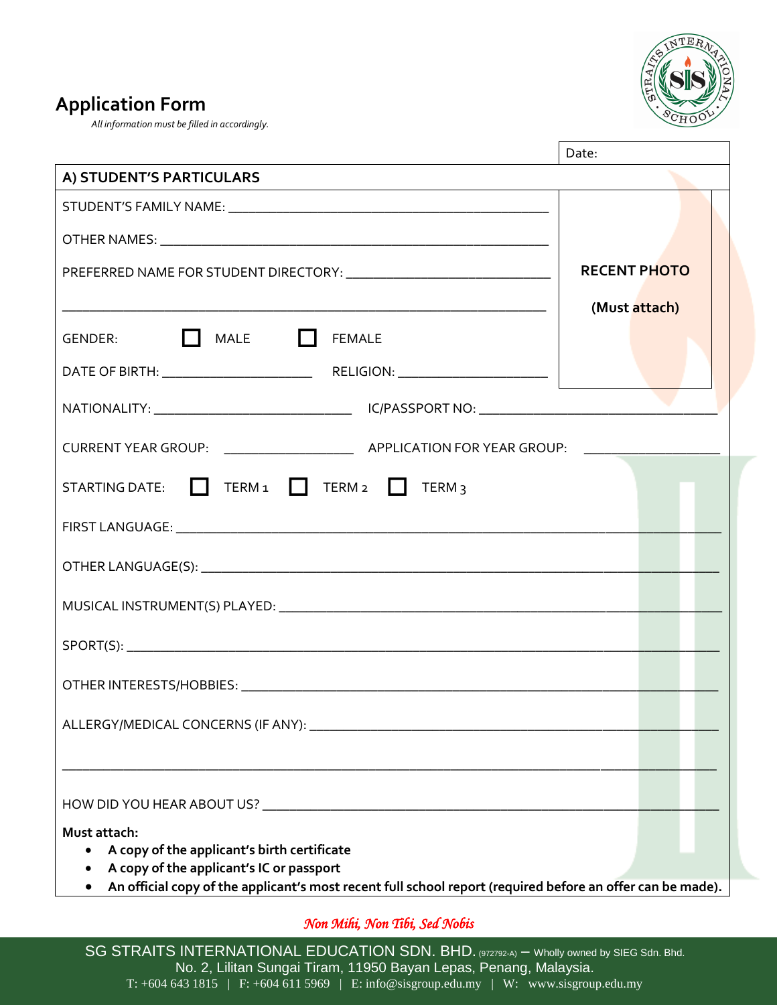

## **Application Form**

*All information must be filled in accordingly.*

|                                                                                                            | Date:               |
|------------------------------------------------------------------------------------------------------------|---------------------|
| A) STUDENT'S PARTICULARS                                                                                   |                     |
|                                                                                                            |                     |
|                                                                                                            |                     |
|                                                                                                            | <b>RECENT PHOTO</b> |
|                                                                                                            | (Must attach)       |
| GENDER: MALE FEMALE                                                                                        |                     |
|                                                                                                            |                     |
|                                                                                                            |                     |
|                                                                                                            |                     |
| STARTING DATE: TERM 1 TERM 2 TERM 3                                                                        |                     |
|                                                                                                            |                     |
|                                                                                                            |                     |
|                                                                                                            |                     |
|                                                                                                            |                     |
|                                                                                                            |                     |
|                                                                                                            |                     |
|                                                                                                            |                     |
| Must attach:                                                                                               |                     |
| A copy of the applicant's birth certificate<br>A copy of the applicant's IC or passport                    |                     |
| An official copy of the applicant's most recent full school report (required before an offer can be made). |                     |

*Non Mihi, Non Tibi, Sed Nobis*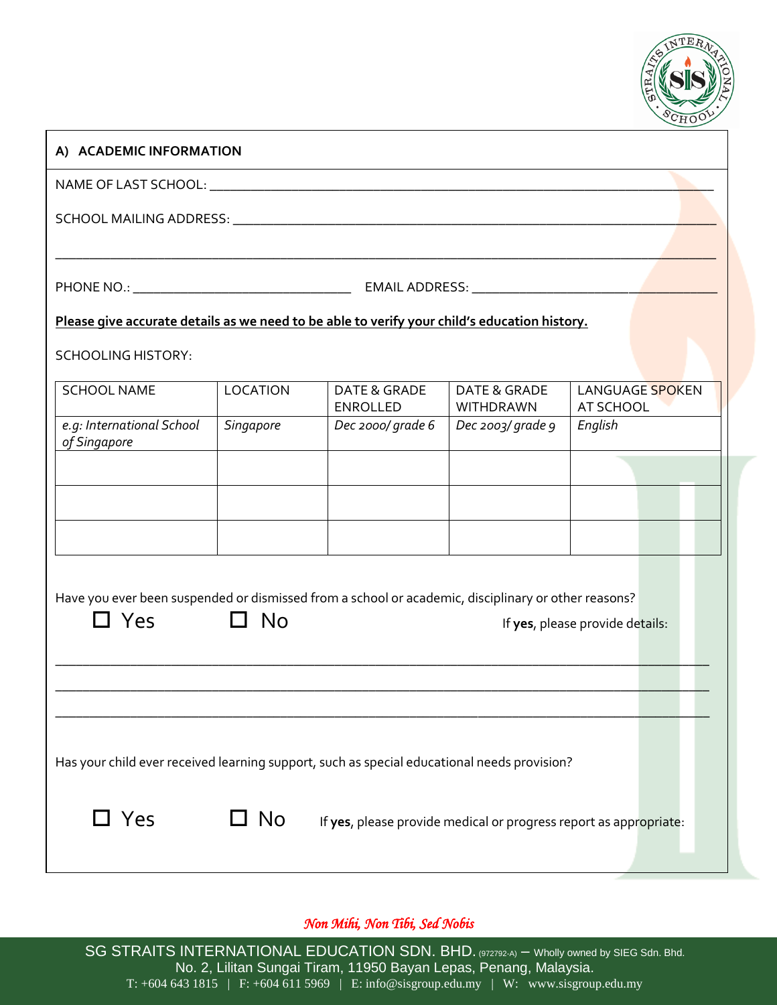

#### **A) ACADEMIC INFORMATION**

NAME OF LAST SCHOOL: \_\_\_\_\_\_\_\_\_\_\_\_\_\_\_\_\_\_\_\_\_\_\_\_\_\_\_\_\_\_\_\_\_\_\_\_\_\_\_\_\_\_\_\_\_\_\_\_\_\_\_\_\_\_\_\_\_\_\_\_\_\_\_\_\_\_\_\_\_\_\_\_\_\_

SCHOOL MAILING ADDRESS: \_\_\_\_\_\_\_\_\_\_\_\_\_\_\_\_\_\_\_\_\_\_\_\_\_\_\_\_\_\_\_\_\_\_\_\_\_\_\_\_\_\_\_\_\_\_\_\_\_\_\_\_\_\_\_\_\_\_\_\_\_\_\_\_\_\_\_\_\_\_\_

PHONE NO.: \_\_\_\_\_\_\_\_\_\_\_\_\_\_\_\_\_\_\_\_\_\_\_\_\_\_\_\_\_\_\_\_ EMAIL ADDRESS: \_\_\_\_\_\_\_\_\_\_\_\_\_\_\_\_\_\_\_\_\_\_\_\_\_\_\_\_\_\_\_\_\_\_\_\_

\_\_\_\_\_\_\_\_\_\_\_\_\_\_\_\_\_\_\_\_\_\_\_\_\_\_\_\_\_\_\_\_\_\_\_\_\_\_\_\_\_\_\_\_\_\_\_\_\_\_\_\_\_\_\_\_\_\_\_\_\_\_\_\_\_\_\_\_\_\_\_\_\_\_\_\_\_\_\_\_\_\_\_\_\_\_\_\_\_\_\_\_\_\_\_\_\_

#### **Please give accurate details as we need to be able to verify your child's education history.**

SCHOOLING HISTORY:

| <b>SCHOOL NAME</b>                        | <b>LOCATION</b>  | DATE & GRADE<br><b>ENROLLED</b> | DATE & GRADE<br>WITHDRAWN | LANGUAGE SPOKEN<br>AT SCHOOL |  |  |
|-------------------------------------------|------------------|---------------------------------|---------------------------|------------------------------|--|--|
| e.g: International School<br>of Singapore | <b>Singapore</b> | Dec 2000/ grade 6               | Dec 2003/ grade 9         | English                      |  |  |
|                                           |                  |                                 |                           |                              |  |  |
|                                           |                  |                                 |                           |                              |  |  |
|                                           |                  |                                 |                           |                              |  |  |

Have you ever been suspended or dismissed from a school or academic, disciplinary or other reasons?

| $\Box$ Yes | N <sub>o</sub> | If yes, please provide details:                                                             |
|------------|----------------|---------------------------------------------------------------------------------------------|
|            |                |                                                                                             |
|            |                |                                                                                             |
|            |                |                                                                                             |
|            |                | Has your child ever received learning support, such as special educational needs provision? |
| $\Box$ Yes | No.            | If yes, please provide medical or progress report as appropriate:                           |
|            |                |                                                                                             |

#### *Non Mihi, Non Tibi, Sed Nobis*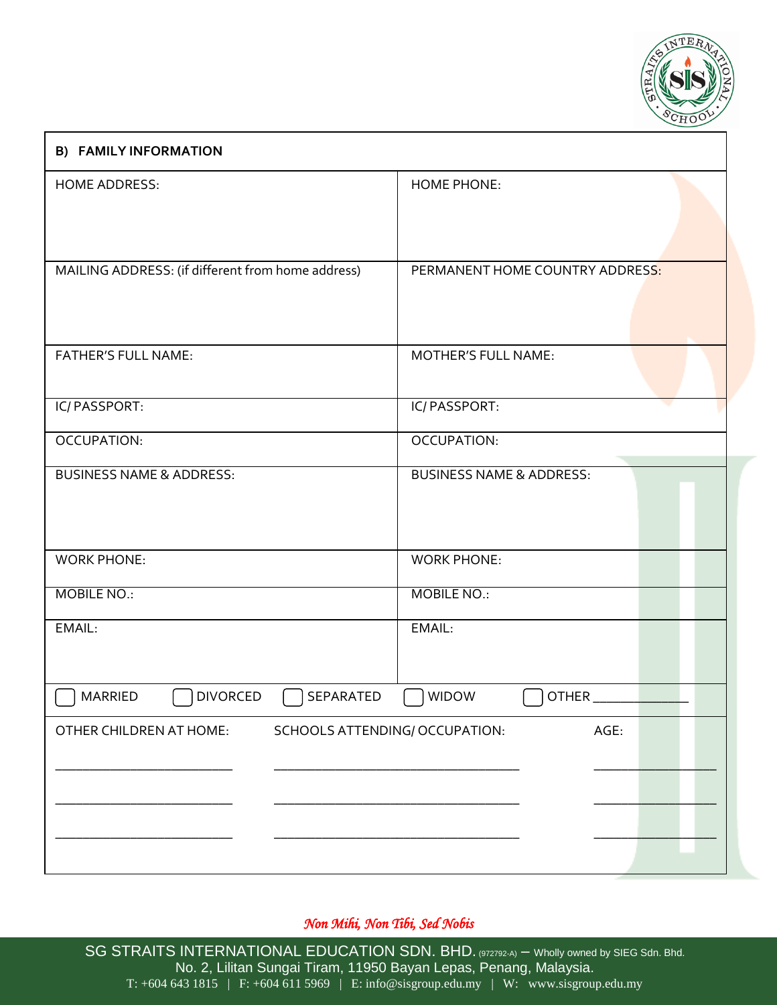

# **B) FAMILY INFORMATION** HOME ADDRESS: HOME PHONE: MAILING ADDRESS: (if different from home address) PERMANENT HOME COUNTRY ADDRESS: FATHER'S FULL NAME: MOTHER'S FULL NAME: IC/ PASSPORT: IC/ PASSPORT: OCCUPATION: OCCUPATION: BUSINESS NAME & ADDRESS: BUSINESS NAME & ADDRESS: WORK PHONE: WORK PHONE: MOBILE NO.: MOBILE NO.: EMAIL: EMAIL:  $MARRIED$  DIVORCED SEPARATED WIDOW  $\bigcap$  OTHER OTHER CHILDREN AT HOME: SCHOOLS ATTENDING/ OCCUPATION: AGE: \_\_\_\_\_\_\_\_\_\_\_\_\_\_\_\_\_\_\_\_\_\_\_\_\_\_ \_\_\_\_\_\_\_\_\_\_\_\_\_\_\_\_\_\_\_\_\_\_\_\_\_\_\_\_\_\_\_\_\_\_\_\_ \_\_\_\_\_\_\_\_\_\_\_\_\_\_\_\_\_\_ \_\_\_\_\_\_\_\_\_\_\_\_\_\_\_\_\_\_\_\_\_\_\_\_\_\_ \_\_\_\_\_\_\_\_\_\_\_\_\_\_\_\_\_\_\_\_\_\_\_\_\_\_\_\_\_\_\_\_\_\_\_\_ \_\_\_\_\_\_\_\_\_\_\_\_\_\_\_\_\_\_ \_\_\_\_\_\_\_\_\_\_\_\_\_\_\_\_\_\_\_\_\_\_\_\_\_\_ \_\_\_\_\_\_\_\_\_\_\_\_\_\_\_\_\_\_\_\_\_\_\_\_\_\_\_\_\_\_\_\_\_\_\_\_ \_\_\_\_\_\_\_\_\_\_\_\_\_\_\_\_\_\_

#### *Non Mihi, Non Tibi, Sed Nobis*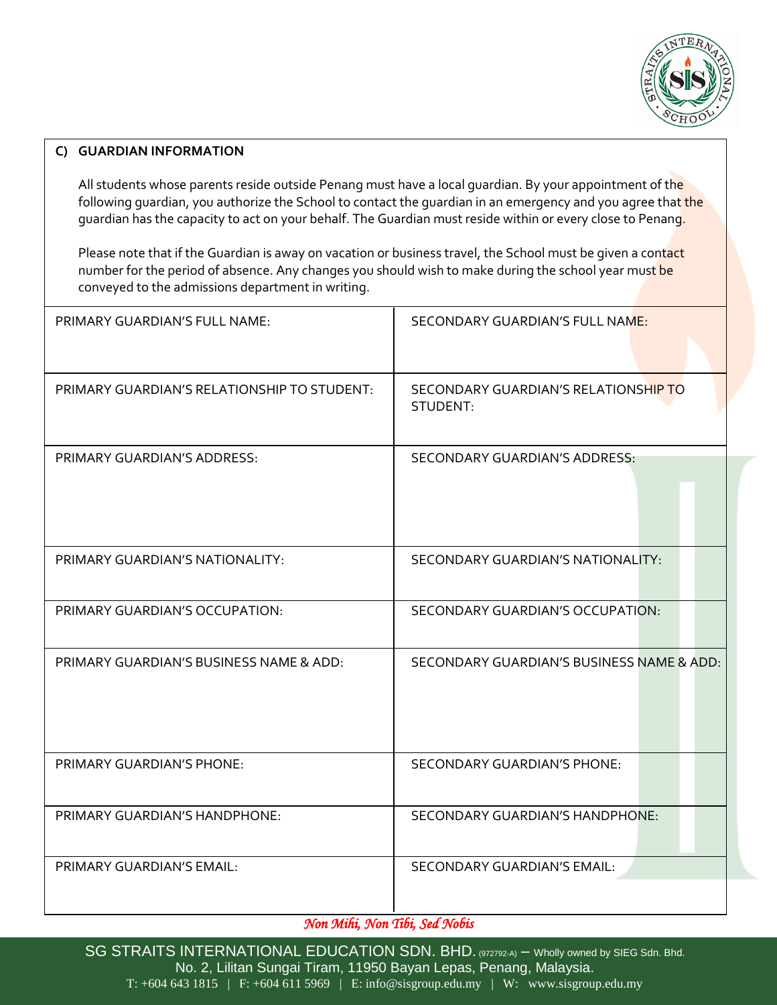

#### **C) GUARDIAN INFORMATION**

All students whose parents reside outside Penang must have a local quardian. By your appointment of the following guardian, you authorize the School to contact the guardian in an emergency and you agree that the guardian has the capacity to act on your behalf. The Guardian must reside within or every close to Penang.

Please note that if the Guardian is away on vacation or business travel, the School must be given a contact number for the period of absence. Any changes you should wish to make during the school year must be conveyed to the admissions department in writing.

| PRIMARY GUARDIAN'S FULL NAME:               | SECONDARY GUARDIAN'S FULL NAME:                  |
|---------------------------------------------|--------------------------------------------------|
| PRIMARY GUARDIAN'S RELATIONSHIP TO STUDENT: | SECONDARY GUARDIAN'S RELATIONSHIP TO<br>STUDENT: |
| PRIMARY GUARDIAN'S ADDRESS:                 | <b>SECONDARY GUARDIAN'S ADDRESS:</b>             |
| PRIMARY GUARDIAN'S NATIONALITY:             | SECONDARY GUARDIAN'S NATIONALITY:                |
| PRIMARY GUARDIAN'S OCCUPATION:              | SECONDARY GUARDIAN'S OCCUPATION:                 |
| PRIMARY GUARDIAN'S BUSINESS NAME & ADD:     | SECONDARY GUARDIAN'S BUSINESS NAME & ADD:        |
| <b>PRIMARY GUARDIAN'S PHONE:</b>            | <b>SECONDARY GUARDIAN'S PHONE:</b>               |
| PRIMARY GUARDIAN'S HANDPHONE:               | <b>SECONDARY GUARDIAN'S HANDPHONE:</b>           |
| PRIMARY GUARDIAN'S EMAIL:                   | <b>SECONDARY GUARDIAN'S EMAIL:</b>               |

*Non Mihi, Non Tibi, Sed Nobis*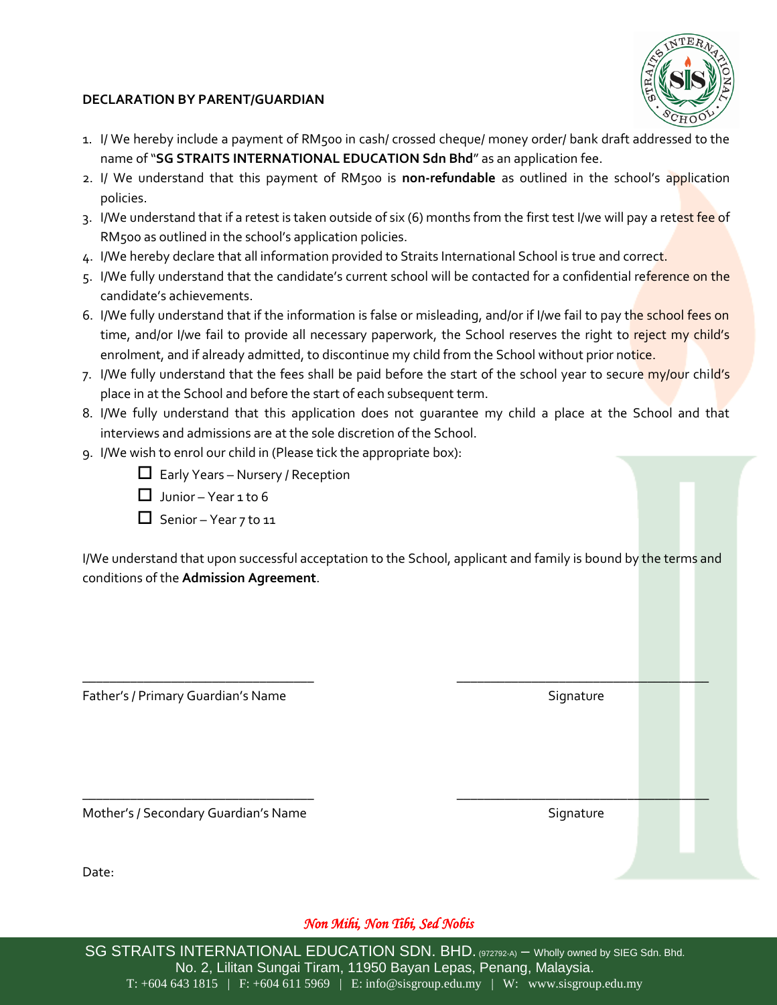

#### **DECLARATION BY PARENT/GUARDIAN**

- 1. I/ We hereby include a payment of RM500 in cash/ crossed cheque/ money order/ bank draft addressed to the name of "**SG STRAITS INTERNATIONAL EDUCATION Sdn Bhd**" as an application fee.
- 2. I/ We understand that this payment of RM500 is **non-refundable** as outlined in the school's application policies.
- 3. I/We understand that if a retest is taken outside of six (6) months from the first test I/we will pay a retest fee of RM500 as outlined in the school's application policies.
- 4. I/We hereby declare that all information provided to Straits International School is true and correct.
- 5. I/We fully understand that the candidate's current school will be contacted for a confidential reference on the candidate's achievements.
- 6. I/We fully understand that if the information is false or misleading, and/or if I/we fail to pay the school fees on time, and/or I/we fail to provide all necessary paperwork, the School reserves the right to reject my child's enrolment, and if already admitted, to discontinue my child from the School without prior notice.
- 7. I/We fully understand that the fees shall be paid before the start of the school year to secure my/our child's place in at the School and before the start of each subsequent term.
- 8. I/We fully understand that this application does not guarantee my child a place at the School and that interviews and admissions are at the sole discretion of the School.
- 9. I/We wish to enrol our child in (Please tick the appropriate box):
	- $\Box$  Early Years Nursery / Reception
	- $\Box$  Junior Year 1 to 6
	- $\Box$  Senior Year 7 to 11

I/We understand that upon successful acceptation to the School, applicant and family is bound by the terms and conditions of the **Admission Agreement**.

\_\_\_\_\_\_\_\_\_\_\_\_\_\_\_\_\_\_\_\_\_\_\_\_\_\_\_\_\_\_\_\_\_\_ \_\_\_\_\_\_\_\_\_\_\_\_\_\_\_\_\_\_\_\_\_\_\_\_\_\_\_\_\_\_\_\_\_\_\_\_\_

\_\_\_\_\_\_\_\_\_\_\_\_\_\_\_\_\_\_\_\_\_\_\_\_\_\_\_\_\_\_\_\_\_\_ \_\_\_\_\_\_\_\_\_\_\_\_\_\_\_\_\_\_\_\_\_\_\_\_\_\_\_\_\_\_\_\_\_\_\_\_\_

Father's / Primary Guardian's Name States and States and Signature Signature

Mother's / Secondary Guardian's Name Shane Signature Signature

Date:

#### *Non Mihi, Non Tibi, Sed Nobis*